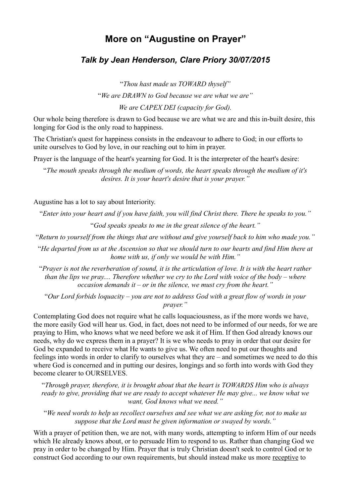## **More on "Augustine on Prayer"**

## *Talk by Jean Henderson, Clare Priory 30/07/2015*

"*Thou hast made us TOWARD thyself"* "*We are DRAWN to God because we are what we are" We are CAPEX DEI (capacity for God).*

Our whole being therefore is drawn to God because we are what we are and this in-built desire, this longing for God is the only road to happiness.

The Christian's quest for happiness consists in the endeavour to adhere to God; in our efforts to unite ourselves to God by love, in our reaching out to him in prayer.

Prayer is the language of the heart's yearning for God. It is the interpreter of the heart's desire:

"*The mouth speaks through the medium of words, the heart speaks through the medium of it's desires. It is your heart's desire that is your prayer."*

Augustine has a lot to say about Interiority.

"*Enter into your heart and if you have faith, you will find Christ there. There he speaks to you."* "*God speaks speaks to me in the great silence of the heart."*

"*Return to yourself from the things that are without and give yourself back to him who made you."*

"*He departed from us at the Ascension so that we should turn to our hearts and find Him there at home with us, if only we would be with Him."*

"*Prayer is not the reverberation of sound, it is the articulation of love. It is with the heart rather than the lips we pray.... Therefore whether we cry to the Lord with voice of the body – where occasion demands it – or in the silence, we must cry from the heart."*

"*Our Lord forbids loquacity – you are not to address God with a great flow of words in your prayer."*

Contemplating God does not require what he calls loquaciousness, as if the more words we have, the more easily God will hear us. God, in fact, does not need to be informed of our needs, for we are praying to Him, who knows what we need before we ask it of Him. If then God already knows our needs, why do we express them in a prayer? It is we who needs to pray in order that our desire for God be expanded to receive what He wants to give us. We often need to put our thoughts and feelings into words in order to clarify to ourselves what they are – and sometimes we need to do this where God is concerned and in putting our desires, longings and so forth into words with God they become clearer to OURSELVES.

"*Through prayer, therefore, it is brought about that the heart is TOWARDS Him who is always ready to give, providing that we are ready to accept whatever He may give... we know what we want, God knows what we need."*

"*We need words to help us recollect ourselves and see what we are asking for, not to make us suppose that the Lord must be given information or swayed by words."*

With a prayer of petition then, we are not, with many words, attempting to inform Him of our needs which He already knows about, or to persuade Him to respond to us. Rather than changing God we pray in order to be changed by Him. Prayer that is truly Christian doesn't seek to control God or to construct God according to our own requirements, but should instead make us more receptive to